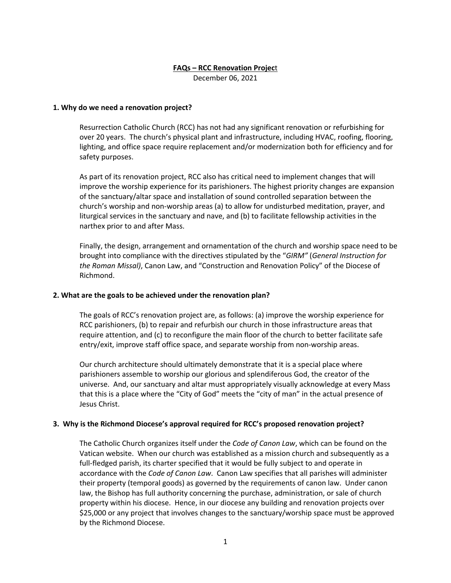# **FAQs – RCC Renovation Projec**t

December 06, 2021

# **1. Why do we need a renovation project?**

Resurrection Catholic Church (RCC) has not had any significant renovation or refurbishing for over 20 years. The church's physical plant and infrastructure, including HVAC, roofing, flooring, lighting, and office space require replacement and/or modernization both for efficiency and for safety purposes.

As part of its renovation project, RCC also has critical need to implement changes that will improve the worship experience for its parishioners. The highest priority changes are expansion of the sanctuary/altar space and installation of sound controlled separation between the church's worship and non-worship areas (a) to allow for undisturbed meditation, prayer, and liturgical services in the sanctuary and nave, and (b) to facilitate fellowship activities in the narthex prior to and after Mass.

Finally, the design, arrangement and ornamentation of the church and worship space need to be brought into compliance with the directives stipulated by the "*GIRM"* (*General Instruction for the Roman Missal)*, Canon Law, and "Construction and Renovation Policy" of the Diocese of Richmond.

# **2. What are the goals to be achieved under the renovation plan?**

The goals of RCC's renovation project are, as follows: (a) improve the worship experience for RCC parishioners, (b) to repair and refurbish our church in those infrastructure areas that require attention, and (c) to reconfigure the main floor of the church to better facilitate safe entry/exit, improve staff office space, and separate worship from non-worship areas.

Our church architecture should ultimately demonstrate that it is a special place where parishioners assemble to worship our glorious and splendiferous God, the creator of the universe. And, our sanctuary and altar must appropriately visually acknowledge at every Mass that this is a place where the "City of God" meets the "city of man" in the actual presence of Jesus Christ.

# **3. Why is the Richmond Diocese's approval required for RCC's proposed renovation project?**

The Catholic Church organizes itself under the *Code of Canon Law*, which can be found on the Vatican website. When our church was established as a mission church and subsequently as a full-fledged parish, its charter specified that it would be fully subject to and operate in accordance with the *Code of Canon Law*. Canon Law specifies that all parishes will administer their property (temporal goods) as governed by the requirements of canon law. Under canon law, the Bishop has full authority concerning the purchase, administration, or sale of church property within his diocese. Hence, in our diocese any building and renovation projects over \$25,000 or any project that involves changes to the sanctuary/worship space must be approved by the Richmond Diocese.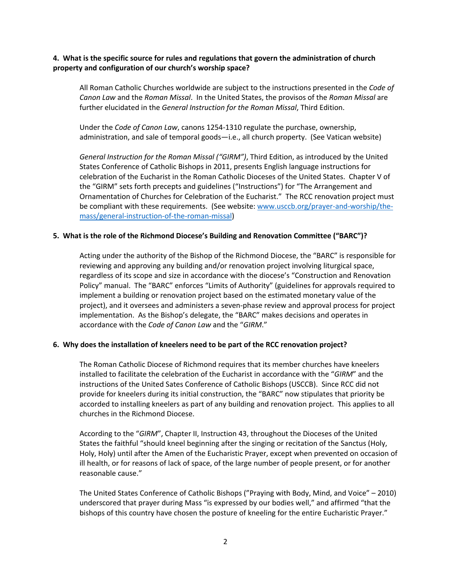# **4. What is the specific source for rules and regulations that govern the administration of church property and configuration of our church's worship space?**

All Roman Catholic Churches worldwide are subject to the instructions presented in the *Code of Canon Law* and the *Roman Missal*. In the United States, the provisos of the *Roman Missal* are further elucidated in the *General Instruction for the Roman Missal*, Third Edition.

Under the *Code of Canon Law*, canons 1254-1310 regulate the purchase, ownership, administration, and sale of temporal goods—i.e., all church property. (See Vatican website)

*General Instruction for the Roman Missal ("GIRM")*, Third Edition, as introduced by the United States Conference of Catholic Bishops in 2011, presents English language instructions for celebration of the Eucharist in the Roman Catholic Dioceses of the United States. Chapter V of the "GIRM" sets forth precepts and guidelines ("Instructions") for "The Arrangement and Ornamentation of Churches for Celebration of the Eucharist." The RCC renovation project must be compliant with these requirements. (See website: www.usccb.org/prayer-and-worship/themass/general-instruction-of-the-roman-missal)

### **5. What is the role of the Richmond Diocese's Building and Renovation Committee ("BARC")?**

Acting under the authority of the Bishop of the Richmond Diocese, the "BARC" is responsible for reviewing and approving any building and/or renovation project involving liturgical space, regardless of its scope and size in accordance with the diocese's "Construction and Renovation Policy" manual. The "BARC" enforces "Limits of Authority" (guidelines for approvals required to implement a building or renovation project based on the estimated monetary value of the project), and it oversees and administers a seven-phase review and approval process for project implementation. As the Bishop's delegate, the "BARC" makes decisions and operates in accordance with the *Code of Canon Law* and the "*GIRM*."

#### **6. Why does the installation of kneelers need to be part of the RCC renovation project?**

The Roman Catholic Diocese of Richmond requires that its member churches have kneelers installed to facilitate the celebration of the Eucharist in accordance with the "*GIRM*" and the instructions of the United Sates Conference of Catholic Bishops (USCCB). Since RCC did not provide for kneelers during its initial construction, the "BARC" now stipulates that priority be accorded to installing kneelers as part of any building and renovation project. This applies to all churches in the Richmond Diocese.

According to the "*GIRM*", Chapter II, Instruction 43, throughout the Dioceses of the United States the faithful "should kneel beginning after the singing or recitation of the Sanctus (Holy, Holy, Holy) until after the Amen of the Eucharistic Prayer, except when prevented on occasion of ill health, or for reasons of lack of space, of the large number of people present, or for another reasonable cause."

The United States Conference of Catholic Bishops ("Praying with Body, Mind, and Voice" – 2010) underscored that prayer during Mass "is expressed by our bodies well," and affirmed "that the bishops of this country have chosen the posture of kneeling for the entire Eucharistic Prayer."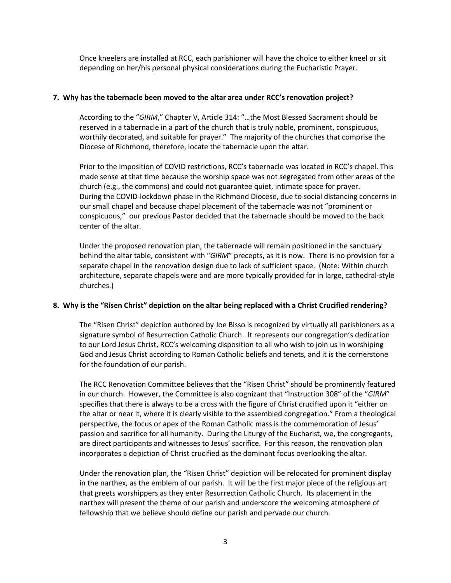Once kneelers are installed at RCC, each parishioner will have the choice to either kneel or sit depending on her/his personal physical considerations during the Eucharistic Prayer.

# **7. Why has the tabernacle been moved to the altar area under RCC's renovation project?**

According to the "*GIRM*," Chapter V, Article 314: "…the Most Blessed Sacrament should be reserved in a tabernacle in a part of the church that is truly noble, prominent, conspicuous, worthily decorated, and suitable for prayer." The majority of the churches that comprise the Diocese of Richmond, therefore, locate the tabernacle upon the altar.

Prior to the imposition of COVID restrictions, RCC's tabernacle was located in RCC's chapel. This made sense at that time because the worship space was not segregated from other areas of the church (e.g., the commons) and could not guarantee quiet, intimate space for prayer. During the COVID-lockdown phase in the Richmond Diocese, due to social distancing concerns in our small chapel and because chapel placement of the tabernacle was not "prominent or conspicuous," our previous Pastor decided that the tabernacle should be moved to the back center of the altar.

Under the proposed renovation plan, the tabernacle will remain positioned in the sanctuary behind the altar table, consistent with "*GIRM*" precepts, as it is now. There is no provision for a separate chapel in the renovation design due to lack of sufficient space. (Note: Within church architecture, separate chapels were and are more typically provided for in large, cathedral-style churches.)

# **8. Why is the "Risen Christ" depiction on the altar being replaced with a Christ Crucified rendering?**

The "Risen Christ" depiction authored by Joe Bisso is recognized by virtually all parishioners as a signature symbol of Resurrection Catholic Church. It represents our congregation's dedication to our Lord Jesus Christ, RCC's welcoming disposition to all who wish to join us in worshiping God and Jesus Christ according to Roman Catholic beliefs and tenets, and it is the cornerstone for the foundation of our parish.

The RCC Renovation Committee believes that the "Risen Christ" should be prominently featured in our church. However, the Committee is also cognizant that "Instruction 308" of the "*GIRM*" specifies that there is always to be a cross with the figure of Christ crucified upon it "either on the altar or near it, where it is clearly visible to the assembled congregation." From a theological perspective, the focus or apex of the Roman Catholic mass is the commemoration of Jesus' passion and sacrifice for all humanity. During the Liturgy of the Eucharist, we, the congregants, are direct participants and witnesses to Jesus' sacrifice. For this reason, the renovation plan incorporates a depiction of Christ crucified as the dominant focus overlooking the altar.

Under the renovation plan, the "Risen Christ" depiction will be relocated for prominent display in the narthex, as the emblem of our parish. It will be the first major piece of the religious art that greets worshippers as they enter Resurrection Catholic Church. Its placement in the narthex will present the theme of our parish and underscore the welcoming atmosphere of fellowship that we believe should define our parish and pervade our church.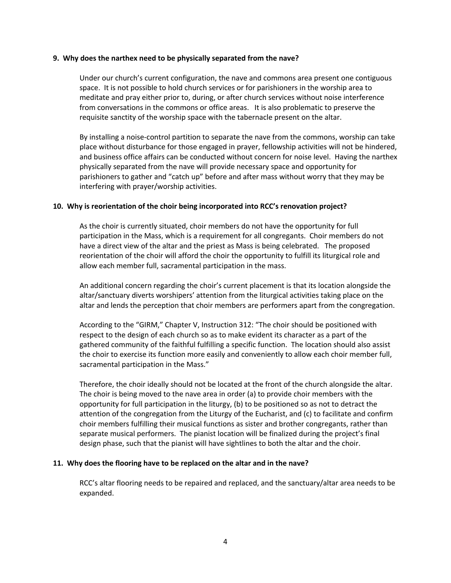#### **9. Why does the narthex need to be physically separated from the nave?**

Under our church's current configuration, the nave and commons area present one contiguous space. It is not possible to hold church services or for parishioners in the worship area to meditate and pray either prior to, during, or after church services without noise interference from conversations in the commons or office areas. It is also problematic to preserve the requisite sanctity of the worship space with the tabernacle present on the altar.

By installing a noise-control partition to separate the nave from the commons, worship can take place without disturbance for those engaged in prayer, fellowship activities will not be hindered, and business office affairs can be conducted without concern for noise level. Having the narthex physically separated from the nave will provide necessary space and opportunity for parishioners to gather and "catch up" before and after mass without worry that they may be interfering with prayer/worship activities.

#### **10. Why is reorientation of the choir being incorporated into RCC's renovation project?**

As the choir is currently situated, choir members do not have the opportunity for full participation in the Mass, which is a requirement for all congregants. Choir members do not have a direct view of the altar and the priest as Mass is being celebrated. The proposed reorientation of the choir will afford the choir the opportunity to fulfill its liturgical role and allow each member full, sacramental participation in the mass.

An additional concern regarding the choir's current placement is that its location alongside the altar/sanctuary diverts worshipers' attention from the liturgical activities taking place on the altar and lends the perception that choir members are performers apart from the congregation.

According to the "GIRM," Chapter V, Instruction 312: "The choir should be positioned with respect to the design of each church so as to make evident its character as a part of the gathered community of the faithful fulfilling a specific function. The location should also assist the choir to exercise its function more easily and conveniently to allow each choir member full, sacramental participation in the Mass."

Therefore, the choir ideally should not be located at the front of the church alongside the altar. The choir is being moved to the nave area in order (a) to provide choir members with the opportunity for full participation in the liturgy, (b) to be positioned so as not to detract the attention of the congregation from the Liturgy of the Eucharist, and (c) to facilitate and confirm choir members fulfilling their musical functions as sister and brother congregants, rather than separate musical performers. The pianist location will be finalized during the project's final design phase, such that the pianist will have sightlines to both the altar and the choir.

#### **11. Why does the flooring have to be replaced on the altar and in the nave?**

RCC's altar flooring needs to be repaired and replaced, and the sanctuary/altar area needs to be expanded.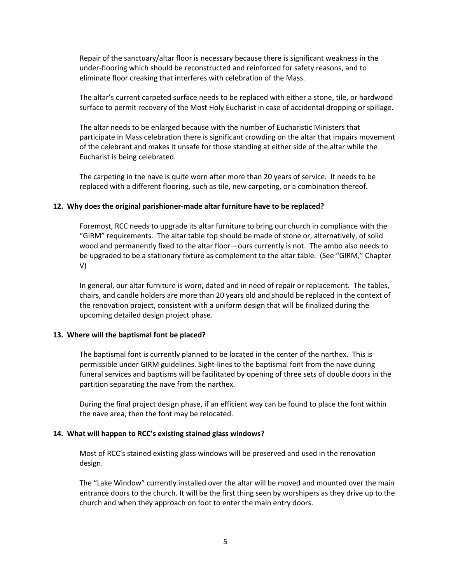Repair of the sanctuary/altar floor is necessary because there is significant weakness in the under-flooring which should be reconstructed and reinforced for safety reasons, and to eliminate floor creaking that interferes with celebration of the Mass.

The altar's current carpeted surface needs to be replaced with either a stone, tile, or hardwood surface to permit recovery of the Most Holy Eucharist in case of accidental dropping or spillage.

The altar needs to be enlarged because with the number of Eucharistic Ministers that participate in Mass celebration there is significant crowding on the altar that impairs movement of the celebrant and makes it unsafe for those standing at either side of the altar while the Eucharist is being celebrated.

The carpeting in the nave is quite worn after more than 20 years of service. It needs to be replaced with a different flooring, such as tile, new carpeting, or a combination thereof.

#### **12. Why does the original parishioner-made altar furniture have to be replaced?**

Foremost, RCC needs to upgrade its altar furniture to bring our church in compliance with the "GIRM" requirements. The altar table top should be made of stone or, alternatively, of solid wood and permanently fixed to the altar floor—ours currently is not. The ambo also needs to be upgraded to be a stationary fixture as complement to the altar table. (See "GIRM," Chapter V)

In general, our altar furniture is worn, dated and in need of repair or replacement. The tables, chairs, and candle holders are more than 20 years old and should be replaced in the context of the renovation project, consistent with a uniform design that will be finalized during the upcoming detailed design project phase.

#### **13. Where will the baptismal font be placed?**

The baptismal font is currently planned to be located in the center of the narthex. This is permissible under GIRM guidelines. Sight-lines to the baptismal font from the nave during funeral services and baptisms will be facilitated by opening of three sets of double doors in the partition separating the nave from the narthex.

During the final project design phase, if an efficient way can be found to place the font within the nave area, then the font may be relocated.

#### **14. What will happen to RCC's existing stained glass windows?**

Most of RCC's stained existing glass windows will be preserved and used in the renovation design.

The "Lake Window" currently installed over the altar will be moved and mounted over the main entrance doors to the church. It will be the first thing seen by worshipers as they drive up to the church and when they approach on foot to enter the main entry doors.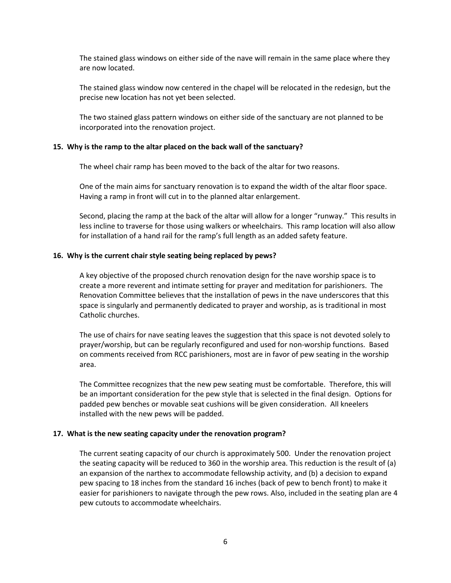The stained glass windows on either side of the nave will remain in the same place where they are now located.

The stained glass window now centered in the chapel will be relocated in the redesign, but the precise new location has not yet been selected.

The two stained glass pattern windows on either side of the sanctuary are not planned to be incorporated into the renovation project.

#### **15. Why is the ramp to the altar placed on the back wall of the sanctuary?**

The wheel chair ramp has been moved to the back of the altar for two reasons.

One of the main aims for sanctuary renovation is to expand the width of the altar floor space. Having a ramp in front will cut in to the planned altar enlargement.

Second, placing the ramp at the back of the altar will allow for a longer "runway." This results in less incline to traverse for those using walkers or wheelchairs. This ramp location will also allow for installation of a hand rail for the ramp's full length as an added safety feature.

#### **16. Why is the current chair style seating being replaced by pews?**

A key objective of the proposed church renovation design for the nave worship space is to create a more reverent and intimate setting for prayer and meditation for parishioners. The Renovation Committee believes that the installation of pews in the nave underscores that this space is singularly and permanently dedicated to prayer and worship, as is traditional in most Catholic churches.

The use of chairs for nave seating leaves the suggestion that this space is not devoted solely to prayer/worship, but can be regularly reconfigured and used for non-worship functions. Based on comments received from RCC parishioners, most are in favor of pew seating in the worship area.

The Committee recognizes that the new pew seating must be comfortable. Therefore, this will be an important consideration for the pew style that is selected in the final design. Options for padded pew benches or movable seat cushions will be given consideration. All kneelers installed with the new pews will be padded.

#### **17. What is the new seating capacity under the renovation program?**

The current seating capacity of our church is approximately 500. Under the renovation project the seating capacity will be reduced to 360 in the worship area. This reduction is the result of (a) an expansion of the narthex to accommodate fellowship activity, and (b) a decision to expand pew spacing to 18 inches from the standard 16 inches (back of pew to bench front) to make it easier for parishioners to navigate through the pew rows. Also, included in the seating plan are 4 pew cutouts to accommodate wheelchairs.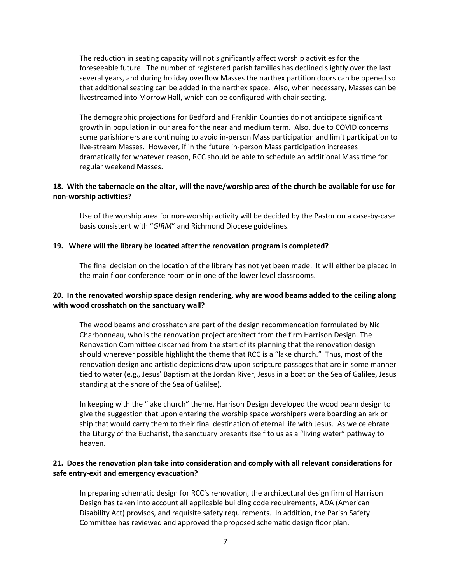The reduction in seating capacity will not significantly affect worship activities for the foreseeable future. The number of registered parish families has declined slightly over the last several years, and during holiday overflow Masses the narthex partition doors can be opened so that additional seating can be added in the narthex space. Also, when necessary, Masses can be livestreamed into Morrow Hall, which can be configured with chair seating.

The demographic projections for Bedford and Franklin Counties do not anticipate significant growth in population in our area for the near and medium term. Also, due to COVID concerns some parishioners are continuing to avoid in-person Mass participation and limit participation to live-stream Masses. However, if in the future in-person Mass participation increases dramatically for whatever reason, RCC should be able to schedule an additional Mass time for regular weekend Masses.

# **18. With the tabernacle on the altar, will the nave/worship area of the church be available for use for non-worship activities?**

Use of the worship area for non-worship activity will be decided by the Pastor on a case-by-case basis consistent with "*GIRM*" and Richmond Diocese guidelines.

### **19. Where will the library be located after the renovation program is completed?**

The final decision on the location of the library has not yet been made. It will either be placed in the main floor conference room or in one of the lower level classrooms.

# **20. In the renovated worship space design rendering, why are wood beams added to the ceiling along with wood crosshatch on the sanctuary wall?**

The wood beams and crosshatch are part of the design recommendation formulated by Nic Charbonneau, who is the renovation project architect from the firm Harrison Design. The Renovation Committee discerned from the start of its planning that the renovation design should wherever possible highlight the theme that RCC is a "lake church." Thus, most of the renovation design and artistic depictions draw upon scripture passages that are in some manner tied to water (e.g., Jesus' Baptism at the Jordan River, Jesus in a boat on the Sea of Galilee, Jesus standing at the shore of the Sea of Galilee).

In keeping with the "lake church" theme, Harrison Design developed the wood beam design to give the suggestion that upon entering the worship space worshipers were boarding an ark or ship that would carry them to their final destination of eternal life with Jesus. As we celebrate the Liturgy of the Eucharist, the sanctuary presents itself to us as a "living water" pathway to heaven.

# **21. Does the renovation plan take into consideration and comply with all relevant considerations for safe entry-exit and emergency evacuation?**

In preparing schematic design for RCC's renovation, the architectural design firm of Harrison Design has taken into account all applicable building code requirements, ADA (American Disability Act) provisos, and requisite safety requirements. In addition, the Parish Safety Committee has reviewed and approved the proposed schematic design floor plan.